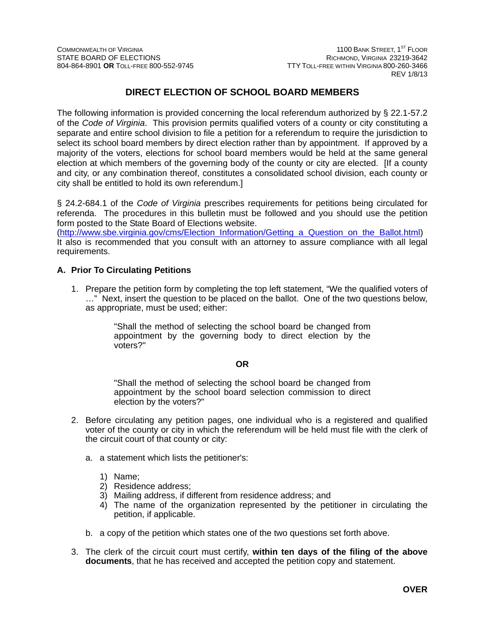## **DIRECT ELECTION OF SCHOOL BOARD MEMBERS**

The following information is provided concerning the local referendum authorized by § 22.1-57.2 of the *Code of Virginia*. This provision permits qualified voters of a county or city constituting a separate and entire school division to file a petition for a referendum to require the jurisdiction to select its school board members by direct election rather than by appointment. If approved by a majority of the voters, elections for school board members would be held at the same general election at which members of the governing body of the county or city are elected. [If a county and city, or any combination thereof, constitutes a consolidated school division, each county or city shall be entitled to hold its own referendum.]

§ 24.2-684.1 of the *Code of Virginia* prescribes requirements for petitions being circulated for referenda. The procedures in this bulletin must be followed and you should use the petition form posted to the State Board of Elections website.

(http://www.sbe.virginia.gov/cms/Election\_Information/Getting\_a\_Question\_on\_the\_Ballot.html) It also is recommended that you consult with an attorney to assure compliance with all legal requirements.

### **A. Prior To Circulating Petitions**

1. Prepare the petition form by completing the top left statement, "We the qualified voters of …" Next, insert the question to be placed on the ballot. One of the two questions below, as appropriate, must be used; either:

> "Shall the method of selecting the school board be changed from appointment by the governing body to direct election by the voters?"

### **OR**

"Shall the method of selecting the school board be changed from appointment by the school board selection commission to direct election by the voters?"

- 2. Before circulating any petition pages, one individual who is a registered and qualified voter of the county or city in which the referendum will be held must file with the clerk of the circuit court of that county or city:
	- a. a statement which lists the petitioner's:
		- 1) Name;
		- 2) Residence address;
		- 3) Mailing address, if different from residence address; and
		- 4) The name of the organization represented by the petitioner in circulating the petition, if applicable.
	- b. a copy of the petition which states one of the two questions set forth above.
- 3. The clerk of the circuit court must certify, **within ten days of the filing of the above documents**, that he has received and accepted the petition copy and statement.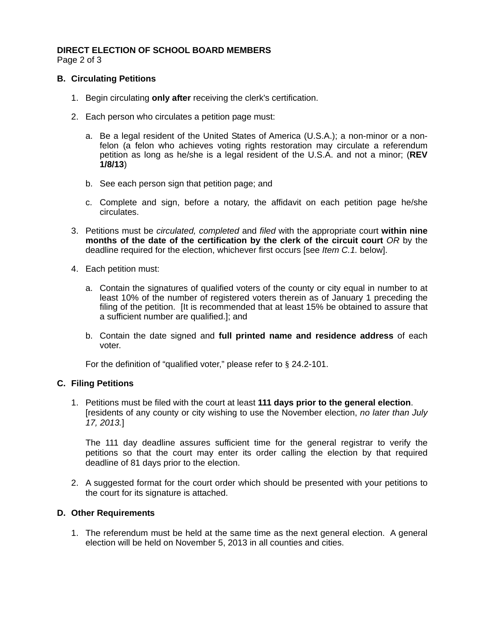### **DIRECT ELECTION OF SCHOOL BOARD MEMBERS**  Page 2 of 3

### **B. Circulating Petitions**

- 1. Begin circulating **only after** receiving the clerk's certification.
- 2. Each person who circulates a petition page must:
	- a. Be a legal resident of the United States of America (U.S.A.); a non-minor or a nonfelon (a felon who achieves voting rights restoration may circulate a referendum petition as long as he/she is a legal resident of the U.S.A. and not a minor; (**REV 1/8/13**)
	- b. See each person sign that petition page; and
	- c. Complete and sign, before a notary, the affidavit on each petition page he/she circulates.
- 3. Petitions must be *circulated, completed* and *filed* with the appropriate court **within nine months of the date of the certification by the clerk of the circuit court** *OR* by the deadline required for the election, whichever first occurs [see *Item C.1.* below].
- 4. Each petition must:
	- a. Contain the signatures of qualified voters of the county or city equal in number to at least 10% of the number of registered voters therein as of January 1 preceding the filing of the petition. [It is recommended that at least 15% be obtained to assure that a sufficient number are qualified.]; and
	- b. Contain the date signed and **full printed name and residence address** of each voter.

For the definition of "qualified voter," please refer to § 24.2-101.

### **C. Filing Petitions**

1. Petitions must be filed with the court at least **111 days prior to the general election**. [residents of any county or city wishing to use the November election, *no later than July 17, 2013.*]

The 111 day deadline assures sufficient time for the general registrar to verify the petitions so that the court may enter its order calling the election by that required deadline of 81 days prior to the election.

2. A suggested format for the court order which should be presented with your petitions to the court for its signature is attached.

### **D. Other Requirements**

1. The referendum must be held at the same time as the next general election. A general election will be held on November 5, 2013 in all counties and cities.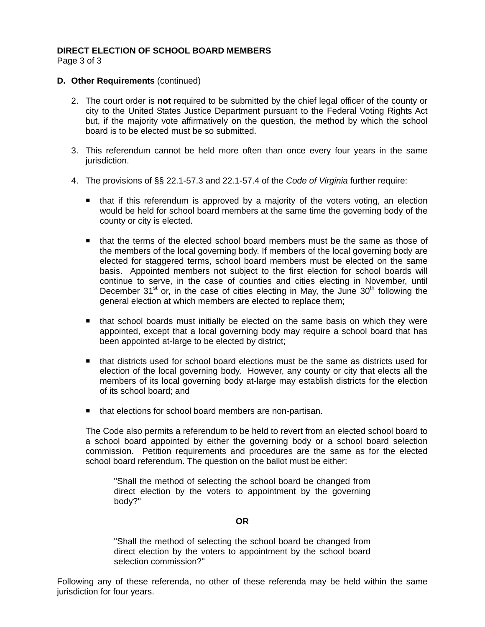# **DIRECT ELECTION OF SCHOOL BOARD MEMBERS**

Page 3 of 3

### **D. Other Requirements (continued)**

- 2. The court order is **not** required to be submitted by the chief legal officer of the county or city to the United States Justice Department pursuant to the Federal Voting Rights Act but, if the majority vote affirmatively on the question, the method by which the school board is to be elected must be so submitted.
- 3. This referendum cannot be held more often than once every four years in the same jurisdiction.
- 4. The provisions of §§ 22.1-57.3 and 22.1-57.4 of the *Code of Virginia* further require:
	- that if this referendum is approved by a majority of the voters voting, an election would be held for school board members at the same time the governing body of the county or city is elected.
	- **that the terms of the elected school board members must be the same as those of** the members of the local governing body. If members of the local governing body are elected for staggered terms, school board members must be elected on the same basis. Appointed members not subject to the first election for school boards will continue to serve, in the case of counties and cities electing in November, until December 31<sup>st</sup> or, in the case of cities electing in May, the June  $30<sup>th</sup>$  following the general election at which members are elected to replace them;
	- that school boards must initially be elected on the same basis on which they were appointed, except that a local governing body may require a school board that has been appointed at-large to be elected by district;
	- that districts used for school board elections must be the same as districts used for election of the local governing body. However, any county or city that elects all the members of its local governing body at-large may establish districts for the election of its school board; and
	- that elections for school board members are non-partisan.

The Code also permits a referendum to be held to revert from an elected school board to a school board appointed by either the governing body or a school board selection commission. Petition requirements and procedures are the same as for the elected school board referendum. The question on the ballot must be either:

"Shall the method of selecting the school board be changed from direct election by the voters to appointment by the governing body?"

#### **OR**

"Shall the method of selecting the school board be changed from direct election by the voters to appointment by the school board selection commission?"

Following any of these referenda, no other of these referenda may be held within the same jurisdiction for four years.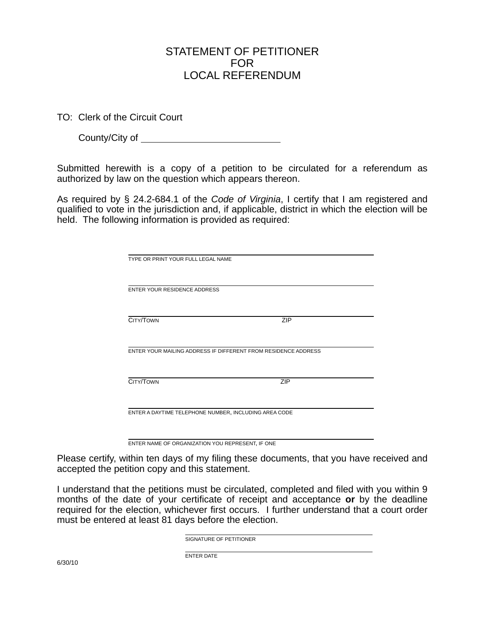# STATEMENT OF PETITIONER FOR LOCAL REFERENDUM

TO: Clerk of the Circuit Court

County/City of

Submitted herewith is a copy of a petition to be circulated for a referendum as authorized by law on the question which appears thereon.

As required by § 24.2-684.1 of the *Code of Virginia*, I certify that I am registered and qualified to vote in the jurisdiction and, if applicable, district in which the election will be held. The following information is provided as required:

| TYPE OR PRINT YOUR FULL LEGAL NAME                             |            |  |
|----------------------------------------------------------------|------------|--|
|                                                                |            |  |
|                                                                |            |  |
| <b>ENTER YOUR RESIDENCE ADDRESS</b>                            |            |  |
|                                                                |            |  |
|                                                                |            |  |
|                                                                |            |  |
| CITY/TOWN                                                      | <b>ZIP</b> |  |
|                                                                |            |  |
|                                                                |            |  |
| ENTER YOUR MAILING ADDRESS IF DIFFERENT FROM RESIDENCE ADDRESS |            |  |
|                                                                |            |  |
|                                                                |            |  |
| CITY/TOWN                                                      | ZIP        |  |
|                                                                |            |  |
|                                                                |            |  |
|                                                                |            |  |
| ENTER A DAYTIME TELEPHONE NUMBER, INCLUDING AREA CODE          |            |  |
|                                                                |            |  |
|                                                                |            |  |
|                                                                |            |  |

ENTER NAME OF ORGANIZATION YOU REPRESENT, IF ONE

Please certify, within ten days of my filing these documents, that you have received and accepted the petition copy and this statement.

I understand that the petitions must be circulated, completed and filed with you within 9 months of the date of your certificate of receipt and acceptance **or** by the deadline required for the election, whichever first occurs. I further understand that a court order must be entered at least 81 days before the election.

SIGNATURE OF PETITIONER

ENTER DATE

6/30/10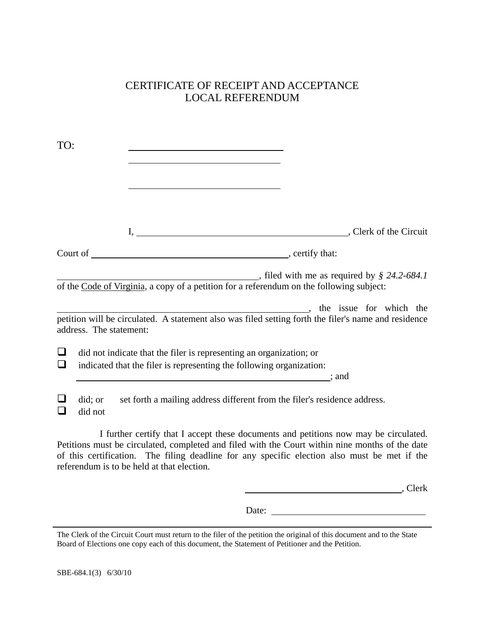# CERTIFICATE OF RECEIPT AND ACCEPTANCE LOCAL REFERENDUM

| TO:              |                                                                                                                                                                               |                                                                                                                                 |
|------------------|-------------------------------------------------------------------------------------------------------------------------------------------------------------------------------|---------------------------------------------------------------------------------------------------------------------------------|
|                  | <u> 1980 - Johann Barn, mars ann an t-Amhain Aonaichte ann an t-Amhain Aonaichte ann an t-Amhain Aonaichte ann an</u>                                                         |                                                                                                                                 |
|                  |                                                                                                                                                                               |                                                                                                                                 |
|                  |                                                                                                                                                                               |                                                                                                                                 |
|                  | of the Code of Virginia, a copy of a petition for a referendum on the following subject:                                                                                      | $\frac{1}{2}$ , filed with me as required by $\frac{8}{2}$ 24.2-684.1                                                           |
|                  | address. The statement:                                                                                                                                                       | the issue for which the<br>petition will be circulated. A statement also was filed setting forth the filer's name and residence |
| $\Box$<br>$\Box$ | did not indicate that the filer is representing an organization; or<br>indicated that the filer is representing the following organization:<br>$\overline{\phantom{a}}$ ; and |                                                                                                                                 |
|                  | did; or<br>did not                                                                                                                                                            | set forth a mailing address different from the filer's residence address.                                                       |

I further certify that I accept these documents and petitions now may be circulated. Petitions must be circulated, completed and filed with the Court within nine months of the date of this certification. The filing deadline for any specific election also must be met if the referendum is to be held at that election.

, Clerk

Date:

The Clerk of the Circuit Court must return to the filer of the petition the original of this document and to the State Board of Elections one copy each of this document, the Statement of Petitioner and the Petition.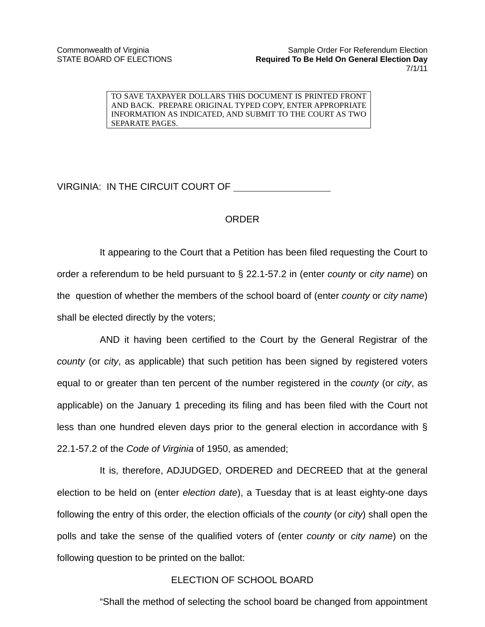TO SAVE TAXPAYER DOLLARS THIS DOCUMENT IS PRINTED FRONT AND BACK. PREPARE ORIGINAL TYPED COPY, ENTER APPROPRIATE INFORMATION AS INDICATED, AND SUBMIT TO THE COURT AS TWO SEPARATE PAGES.

VIRGINIA: IN THE CIRCUIT COURT OF

## ORDER

It appearing to the Court that a Petition has been filed requesting the Court to order a referendum to be held pursuant to § 22.1-57.2 in (enter *county* or *city name*) on the question of whether the members of the school board of (enter *county* or *city name*) shall be elected directly by the voters;

AND it having been certified to the Court by the General Registrar of the *county* (or *city*, as applicable) that such petition has been signed by registered voters equal to or greater than ten percent of the number registered in the *county* (or *city*, as applicable) on the January 1 preceding its filing and has been filed with the Court not less than one hundred eleven days prior to the general election in accordance with § 22.1-57.2 of the *Code of Virginia* of 1950, as amended;

It is, therefore, ADJUDGED, ORDERED and DECREED that at the general election to be held on (enter *election date*), a Tuesday that is at least eighty-one days following the entry of this order, the election officials of the *county* (or *city*) shall open the polls and take the sense of the qualified voters of (enter *county* or *city name*) on the following question to be printed on the ballot:

### ELECTION OF SCHOOL BOARD

"Shall the method of selecting the school board be changed from appointment